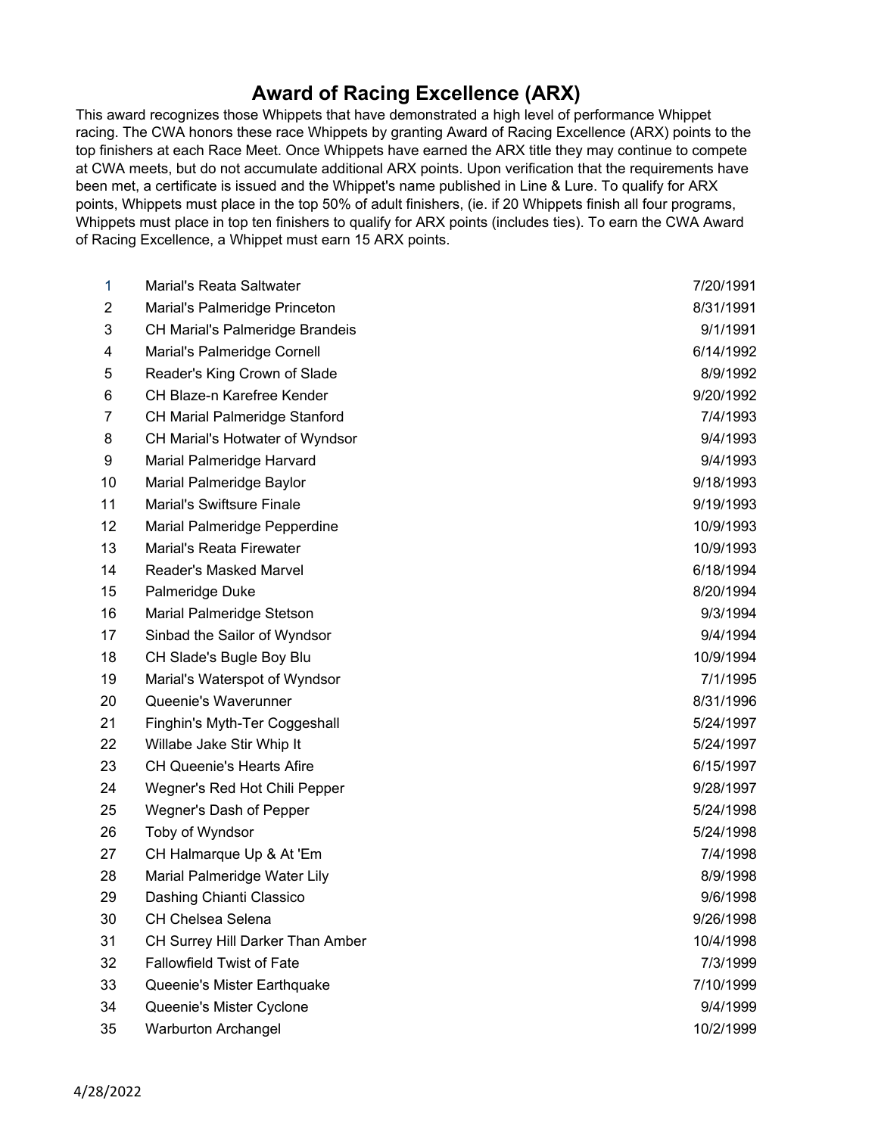## **Award of Racing Excellence (ARX)**

This award recognizes those Whippets that have demonstrated a high level of performance Whippet racing. The CWA honors these race Whippets by granting Award of Racing Excellence (ARX) points to the top finishers at each Race Meet. Once Whippets have earned the ARX title they may continue to compete at CWA meets, but do not accumulate additional ARX points. Upon verification that the requirements have been met, a certificate is issued and the Whippet's name published in Line & Lure. To qualify for ARX points, Whippets must place in the top 50% of adult finishers, (ie. if 20 Whippets finish all four programs, Whippets must place in top ten finishers to qualify for ARX points (includes ties). To earn the CWA Award of Racing Excellence, a Whippet must earn 15 ARX points.

| 1              | <b>Marial's Reata Saltwater</b>      | 7/20/1991 |
|----------------|--------------------------------------|-----------|
| $\overline{c}$ | Marial's Palmeridge Princeton        | 8/31/1991 |
| 3              | CH Marial's Palmeridge Brandeis      | 9/1/1991  |
| 4              | Marial's Palmeridge Cornell          | 6/14/1992 |
| 5              | Reader's King Crown of Slade         | 8/9/1992  |
| 6              | CH Blaze-n Karefree Kender           | 9/20/1992 |
| 7              | <b>CH Marial Palmeridge Stanford</b> | 7/4/1993  |
| 8              | CH Marial's Hotwater of Wyndsor      | 9/4/1993  |
| 9              | Marial Palmeridge Harvard            | 9/4/1993  |
| 10             | Marial Palmeridge Baylor             | 9/18/1993 |
| 11             | <b>Marial's Swiftsure Finale</b>     | 9/19/1993 |
| 12             | Marial Palmeridge Pepperdine         | 10/9/1993 |
| 13             | Marial's Reata Firewater             | 10/9/1993 |
| 14             | Reader's Masked Marvel               | 6/18/1994 |
| 15             | Palmeridge Duke                      | 8/20/1994 |
| 16             | Marial Palmeridge Stetson            | 9/3/1994  |
| 17             | Sinbad the Sailor of Wyndsor         | 9/4/1994  |
| 18             | CH Slade's Bugle Boy Blu             | 10/9/1994 |
| 19             | Marial's Waterspot of Wyndsor        | 7/1/1995  |
| 20             | Queenie's Waverunner                 | 8/31/1996 |
| 21             | Finghin's Myth-Ter Coggeshall        | 5/24/1997 |
| 22             | Willabe Jake Stir Whip It            | 5/24/1997 |
| 23             | <b>CH Queenie's Hearts Afire</b>     | 6/15/1997 |
| 24             | Wegner's Red Hot Chili Pepper        | 9/28/1997 |
| 25             | Wegner's Dash of Pepper              | 5/24/1998 |
| 26             | Toby of Wyndsor                      | 5/24/1998 |
| 27             | CH Halmarque Up & At 'Em             | 7/4/1998  |
| 28             | Marial Palmeridge Water Lily         | 8/9/1998  |
| 29             | Dashing Chianti Classico             | 9/6/1998  |
| 30             | CH Chelsea Selena                    | 9/26/1998 |
| 31             | CH Surrey Hill Darker Than Amber     | 10/4/1998 |
| 32             | Fallowfield Twist of Fate            | 7/3/1999  |
| 33             | Queenie's Mister Earthquake          | 7/10/1999 |
| 34             | Queenie's Mister Cyclone             | 9/4/1999  |
| 35             | <b>Warburton Archangel</b>           | 10/2/1999 |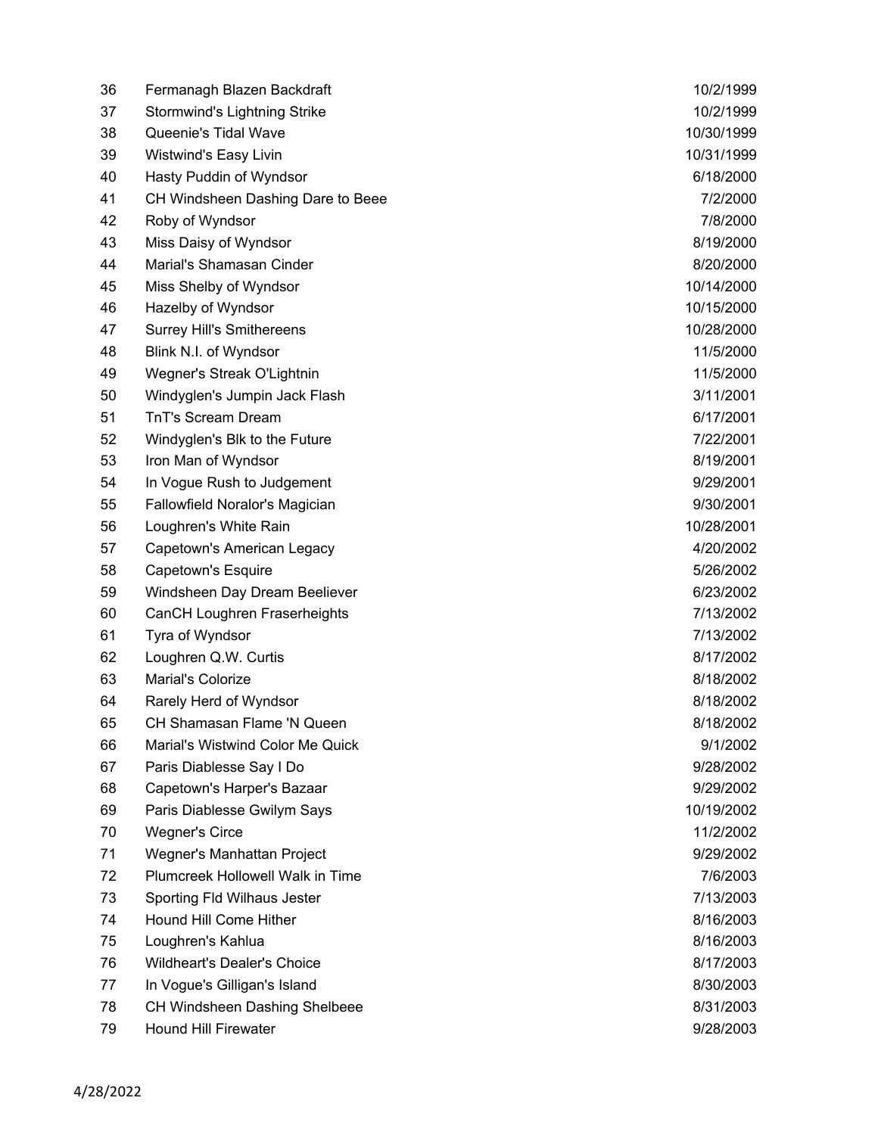| 36 | Fermanagh Blazen Backdraft        | 10/2/1999  |
|----|-----------------------------------|------------|
| 37 | Stormwind's Lightning Strike      | 10/2/1999  |
| 38 | Queenie's Tidal Wave              | 10/30/1999 |
| 39 | Wistwind's Easy Livin             | 10/31/1999 |
| 40 | Hasty Puddin of Wyndsor           | 6/18/2000  |
| 41 | CH Windsheen Dashing Dare to Beee | 7/2/2000   |
| 42 | Roby of Wyndsor                   | 7/8/2000   |
| 43 | Miss Daisy of Wyndsor             | 8/19/2000  |
| 44 | Marial's Shamasan Cinder          | 8/20/2000  |
| 45 | Miss Shelby of Wyndsor            | 10/14/2000 |
| 46 | Hazelby of Wyndsor                | 10/15/2000 |
| 47 | <b>Surrey Hill's Smithereens</b>  | 10/28/2000 |
| 48 | Blink N.I. of Wyndsor             | 11/5/2000  |
| 49 | Wegner's Streak O'Lightnin        | 11/5/2000  |
| 50 | Windyglen's Jumpin Jack Flash     | 3/11/2001  |
| 51 | <b>TnT's Scream Dream</b>         | 6/17/2001  |
| 52 | Windyglen's Blk to the Future     | 7/22/2001  |
| 53 | Iron Man of Wyndsor               | 8/19/2001  |
| 54 | In Vogue Rush to Judgement        | 9/29/2001  |
| 55 | Fallowfield Noralor's Magician    | 9/30/2001  |
| 56 | Loughren's White Rain             | 10/28/2001 |
| 57 | Capetown's American Legacy        | 4/20/2002  |
| 58 | Capetown's Esquire                | 5/26/2002  |
| 59 | Windsheen Day Dream Beeliever     | 6/23/2002  |
| 60 | CanCH Loughren Fraserheights      | 7/13/2002  |
| 61 | Tyra of Wyndsor                   | 7/13/2002  |
| 62 | Loughren Q.W. Curtis              | 8/17/2002  |
| 63 | Marial's Colorize                 | 8/18/2002  |
| 64 | Rarely Herd of Wyndsor            | 8/18/2002  |
| 65 | CH Shamasan Flame 'N Queen        | 8/18/2002  |
| 66 | Marial's Wistwind Color Me Quick  | 9/1/2002   |
| 67 | Paris Diablesse Say I Do          | 9/28/2002  |
| 68 | Capetown's Harper's Bazaar        | 9/29/2002  |
| 69 | Paris Diablesse Gwilym Says       | 10/19/2002 |
| 70 | <b>Wegner's Circe</b>             | 11/2/2002  |
| 71 | Wegner's Manhattan Project        | 9/29/2002  |
| 72 | Plumcreek Hollowell Walk in Time  | 7/6/2003   |
| 73 | Sporting Fld Wilhaus Jester       | 7/13/2003  |
| 74 | Hound Hill Come Hither            | 8/16/2003  |
| 75 | Loughren's Kahlua                 | 8/16/2003  |
| 76 | Wildheart's Dealer's Choice       | 8/17/2003  |
| 77 | In Vogue's Gilligan's Island      | 8/30/2003  |
| 78 | CH Windsheen Dashing Shelbeee     | 8/31/2003  |
| 79 | <b>Hound Hill Firewater</b>       | 9/28/2003  |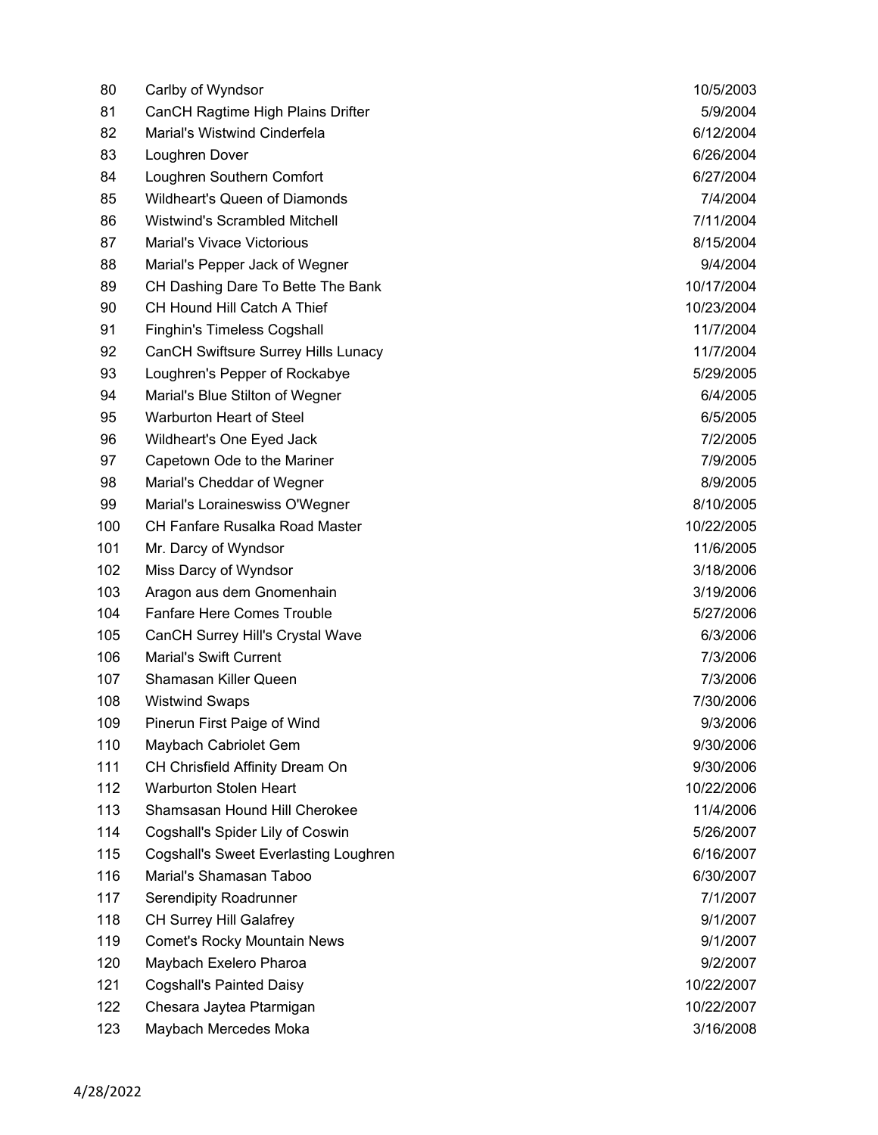| 80  | Carlby of Wyndsor                            | 10/5/2003  |
|-----|----------------------------------------------|------------|
| 81  | CanCH Ragtime High Plains Drifter            | 5/9/2004   |
| 82  | Marial's Wistwind Cinderfela                 | 6/12/2004  |
| 83  | Loughren Dover                               | 6/26/2004  |
| 84  | Loughren Southern Comfort                    | 6/27/2004  |
| 85  | Wildheart's Queen of Diamonds                | 7/4/2004   |
| 86  | <b>Wistwind's Scrambled Mitchell</b>         | 7/11/2004  |
| 87  | <b>Marial's Vivace Victorious</b>            | 8/15/2004  |
| 88  | Marial's Pepper Jack of Wegner               | 9/4/2004   |
| 89  | CH Dashing Dare To Bette The Bank            | 10/17/2004 |
| 90  | CH Hound Hill Catch A Thief                  | 10/23/2004 |
| 91  | <b>Finghin's Timeless Cogshall</b>           | 11/7/2004  |
| 92  | CanCH Swiftsure Surrey Hills Lunacy          | 11/7/2004  |
| 93  | Loughren's Pepper of Rockabye                | 5/29/2005  |
| 94  | Marial's Blue Stilton of Wegner              | 6/4/2005   |
| 95  | Warburton Heart of Steel                     | 6/5/2005   |
| 96  | Wildheart's One Eyed Jack                    | 7/2/2005   |
| 97  | Capetown Ode to the Mariner                  | 7/9/2005   |
| 98  | Marial's Cheddar of Wegner                   | 8/9/2005   |
| 99  | Marial's Loraineswiss O'Wegner               | 8/10/2005  |
| 100 | <b>CH Fanfare Rusalka Road Master</b>        | 10/22/2005 |
| 101 | Mr. Darcy of Wyndsor                         | 11/6/2005  |
| 102 | Miss Darcy of Wyndsor                        | 3/18/2006  |
| 103 | Aragon aus dem Gnomenhain                    | 3/19/2006  |
| 104 | <b>Fanfare Here Comes Trouble</b>            | 5/27/2006  |
| 105 | <b>CanCH Surrey Hill's Crystal Wave</b>      | 6/3/2006   |
| 106 | <b>Marial's Swift Current</b>                | 7/3/2006   |
| 107 | Shamasan Killer Queen                        | 7/3/2006   |
| 108 | <b>Wistwind Swaps</b>                        | 7/30/2006  |
| 109 | Pinerun First Paige of Wind                  | 9/3/2006   |
| 110 | Maybach Cabriolet Gem                        | 9/30/2006  |
| 111 | CH Chrisfield Affinity Dream On              | 9/30/2006  |
| 112 | Warburton Stolen Heart                       | 10/22/2006 |
| 113 | Shamsasan Hound Hill Cherokee                | 11/4/2006  |
| 114 | Cogshall's Spider Lily of Coswin             | 5/26/2007  |
| 115 | <b>Cogshall's Sweet Everlasting Loughren</b> | 6/16/2007  |
| 116 | Marial's Shamasan Taboo                      | 6/30/2007  |
| 117 | Serendipity Roadrunner                       | 7/1/2007   |
| 118 | CH Surrey Hill Galafrey                      | 9/1/2007   |
| 119 | <b>Comet's Rocky Mountain News</b>           | 9/1/2007   |
| 120 | Maybach Exelero Pharoa                       | 9/2/2007   |
| 121 | <b>Cogshall's Painted Daisy</b>              | 10/22/2007 |
| 122 | Chesara Jaytea Ptarmigan                     | 10/22/2007 |
| 123 | Maybach Mercedes Moka                        | 3/16/2008  |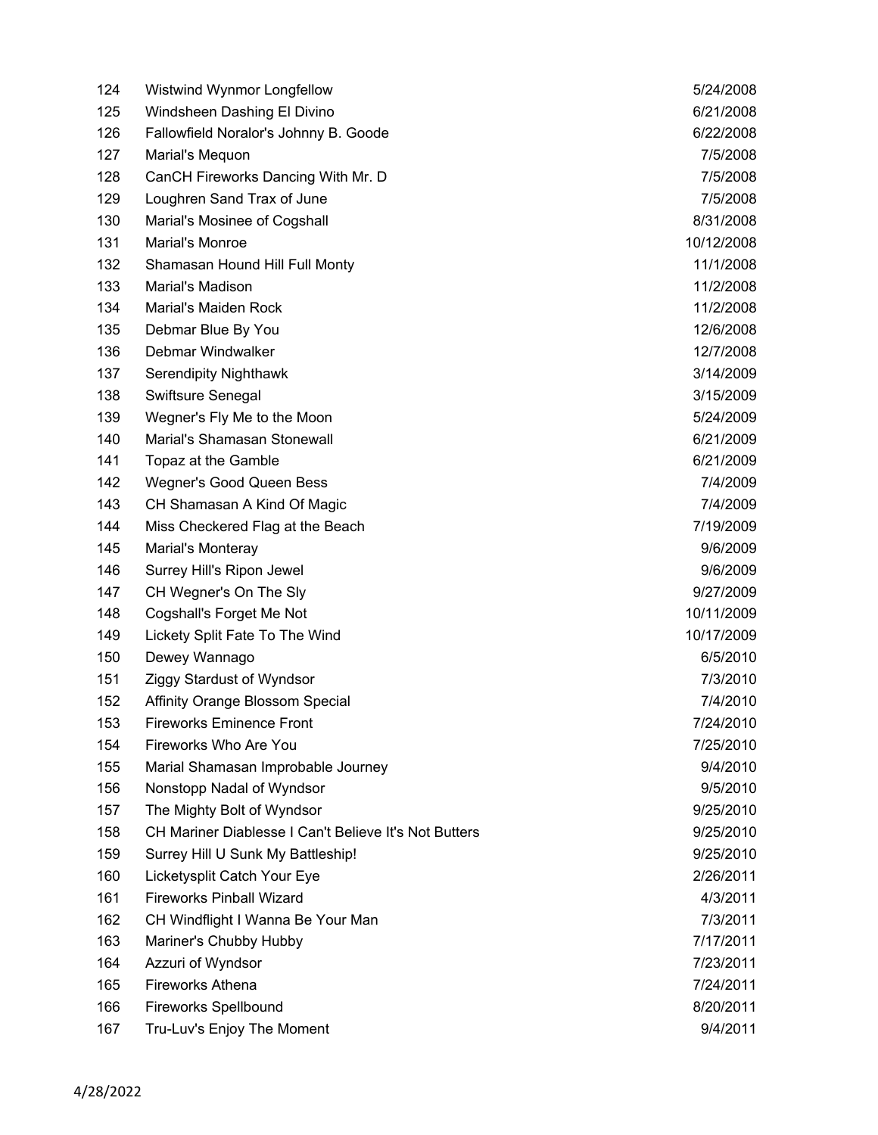| 124 | Wistwind Wynmor Longfellow                            | 5/24/2008  |
|-----|-------------------------------------------------------|------------|
| 125 | Windsheen Dashing El Divino                           | 6/21/2008  |
| 126 | Fallowfield Noralor's Johnny B. Goode                 | 6/22/2008  |
| 127 | Marial's Mequon                                       | 7/5/2008   |
| 128 | CanCH Fireworks Dancing With Mr. D                    | 7/5/2008   |
| 129 | Loughren Sand Trax of June                            | 7/5/2008   |
| 130 | Marial's Mosinee of Cogshall                          | 8/31/2008  |
| 131 | Marial's Monroe                                       | 10/12/2008 |
| 132 | Shamasan Hound Hill Full Monty                        | 11/1/2008  |
| 133 | Marial's Madison                                      | 11/2/2008  |
| 134 | Marial's Maiden Rock                                  | 11/2/2008  |
| 135 | Debmar Blue By You                                    | 12/6/2008  |
| 136 | Debmar Windwalker                                     | 12/7/2008  |
| 137 | Serendipity Nighthawk                                 | 3/14/2009  |
| 138 | Swiftsure Senegal                                     | 3/15/2009  |
| 139 | Wegner's Fly Me to the Moon                           | 5/24/2009  |
| 140 | Marial's Shamasan Stonewall                           | 6/21/2009  |
| 141 | Topaz at the Gamble                                   | 6/21/2009  |
| 142 | Wegner's Good Queen Bess                              | 7/4/2009   |
| 143 | CH Shamasan A Kind Of Magic                           | 7/4/2009   |
| 144 | Miss Checkered Flag at the Beach                      | 7/19/2009  |
| 145 | Marial's Monteray                                     | 9/6/2009   |
| 146 | Surrey Hill's Ripon Jewel                             | 9/6/2009   |
| 147 | CH Wegner's On The Sly                                | 9/27/2009  |
| 148 | Cogshall's Forget Me Not                              | 10/11/2009 |
| 149 | Lickety Split Fate To The Wind                        | 10/17/2009 |
| 150 | Dewey Wannago                                         | 6/5/2010   |
| 151 | <b>Ziggy Stardust of Wyndsor</b>                      | 7/3/2010   |
| 152 | Affinity Orange Blossom Special                       | 7/4/2010   |
| 153 | <b>Fireworks Eminence Front</b>                       | 7/24/2010  |
| 154 | Fireworks Who Are You                                 | 7/25/2010  |
| 155 | Marial Shamasan Improbable Journey                    | 9/4/2010   |
| 156 | Nonstopp Nadal of Wyndsor                             | 9/5/2010   |
| 157 | The Mighty Bolt of Wyndsor                            | 9/25/2010  |
| 158 | CH Mariner Diablesse I Can't Believe It's Not Butters | 9/25/2010  |
| 159 | Surrey Hill U Sunk My Battleship!                     | 9/25/2010  |
| 160 | Licketysplit Catch Your Eye                           | 2/26/2011  |
| 161 | <b>Fireworks Pinball Wizard</b>                       | 4/3/2011   |
| 162 | CH Windflight I Wanna Be Your Man                     | 7/3/2011   |
| 163 | Mariner's Chubby Hubby                                | 7/17/2011  |
| 164 | Azzuri of Wyndsor                                     | 7/23/2011  |
| 165 | Fireworks Athena                                      | 7/24/2011  |
| 166 | <b>Fireworks Spellbound</b>                           | 8/20/2011  |
| 167 | Tru-Luv's Enjoy The Moment                            | 9/4/2011   |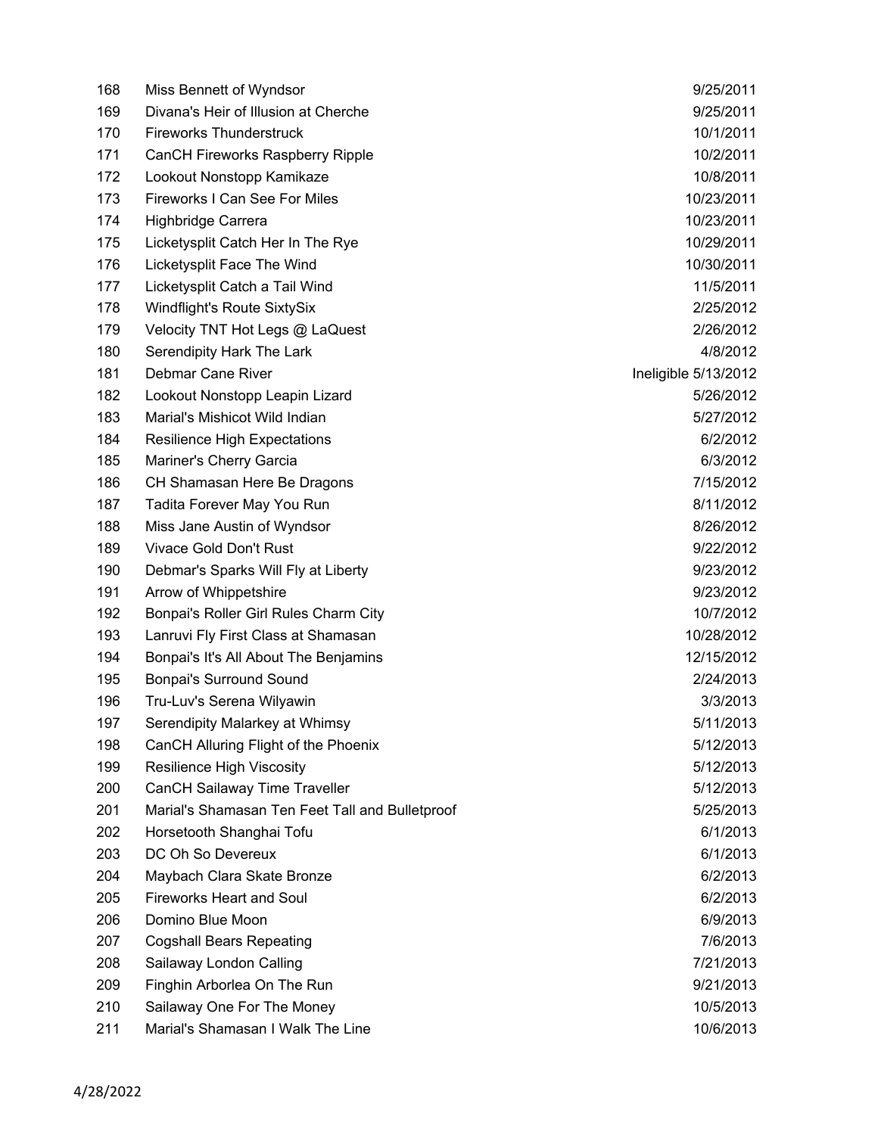| 168 | Miss Bennett of Wyndsor                         | 9/25/2011            |
|-----|-------------------------------------------------|----------------------|
| 169 | Divana's Heir of Illusion at Cherche            | 9/25/2011            |
| 170 | <b>Fireworks Thunderstruck</b>                  | 10/1/2011            |
| 171 | CanCH Fireworks Raspberry Ripple                | 10/2/2011            |
| 172 | Lookout Nonstopp Kamikaze                       | 10/8/2011            |
| 173 | Fireworks I Can See For Miles                   | 10/23/2011           |
| 174 | Highbridge Carrera                              | 10/23/2011           |
| 175 | Licketysplit Catch Her In The Rye               | 10/29/2011           |
| 176 | Licketysplit Face The Wind                      | 10/30/2011           |
| 177 | Licketysplit Catch a Tail Wind                  | 11/5/2011            |
| 178 | Windflight's Route SixtySix                     | 2/25/2012            |
| 179 | Velocity TNT Hot Legs @ LaQuest                 | 2/26/2012            |
| 180 | Serendipity Hark The Lark                       | 4/8/2012             |
| 181 | Debmar Cane River                               | Ineligible 5/13/2012 |
| 182 | Lookout Nonstopp Leapin Lizard                  | 5/26/2012            |
| 183 | Marial's Mishicot Wild Indian                   | 5/27/2012            |
| 184 | <b>Resilience High Expectations</b>             | 6/2/2012             |
| 185 | Mariner's Cherry Garcia                         | 6/3/2012             |
| 186 | CH Shamasan Here Be Dragons                     | 7/15/2012            |
| 187 | Tadita Forever May You Run                      | 8/11/2012            |
| 188 | Miss Jane Austin of Wyndsor                     | 8/26/2012            |
| 189 | Vivace Gold Don't Rust                          | 9/22/2012            |
| 190 | Debmar's Sparks Will Fly at Liberty             | 9/23/2012            |
| 191 | Arrow of Whippetshire                           | 9/23/2012            |
| 192 | Bonpai's Roller Girl Rules Charm City           | 10/7/2012            |
| 193 | Lanruvi Fly First Class at Shamasan             | 10/28/2012           |
| 194 | Bonpai's It's All About The Benjamins           | 12/15/2012           |
| 195 | <b>Bonpai's Surround Sound</b>                  | 2/24/2013            |
| 196 | Tru-Luv's Serena Wilyawin                       | 3/3/2013             |
| 197 | Serendipity Malarkey at Whimsy                  | 5/11/2013            |
| 198 | CanCH Alluring Flight of the Phoenix            | 5/12/2013            |
| 199 | <b>Resilience High Viscosity</b>                | 5/12/2013            |
| 200 | CanCH Sailaway Time Traveller                   | 5/12/2013            |
| 201 | Marial's Shamasan Ten Feet Tall and Bulletproof | 5/25/2013            |
| 202 | Horsetooth Shanghai Tofu                        | 6/1/2013             |
| 203 | DC Oh So Devereux                               | 6/1/2013             |
| 204 | Maybach Clara Skate Bronze                      | 6/2/2013             |
| 205 | <b>Fireworks Heart and Soul</b>                 | 6/2/2013             |
| 206 | Domino Blue Moon                                | 6/9/2013             |
| 207 | <b>Cogshall Bears Repeating</b>                 | 7/6/2013             |
| 208 | Sailaway London Calling                         | 7/21/2013            |
| 209 | Finghin Arborlea On The Run                     | 9/21/2013            |
| 210 | Sailaway One For The Money                      | 10/5/2013            |
| 211 | Marial's Shamasan I Walk The Line               | 10/6/2013            |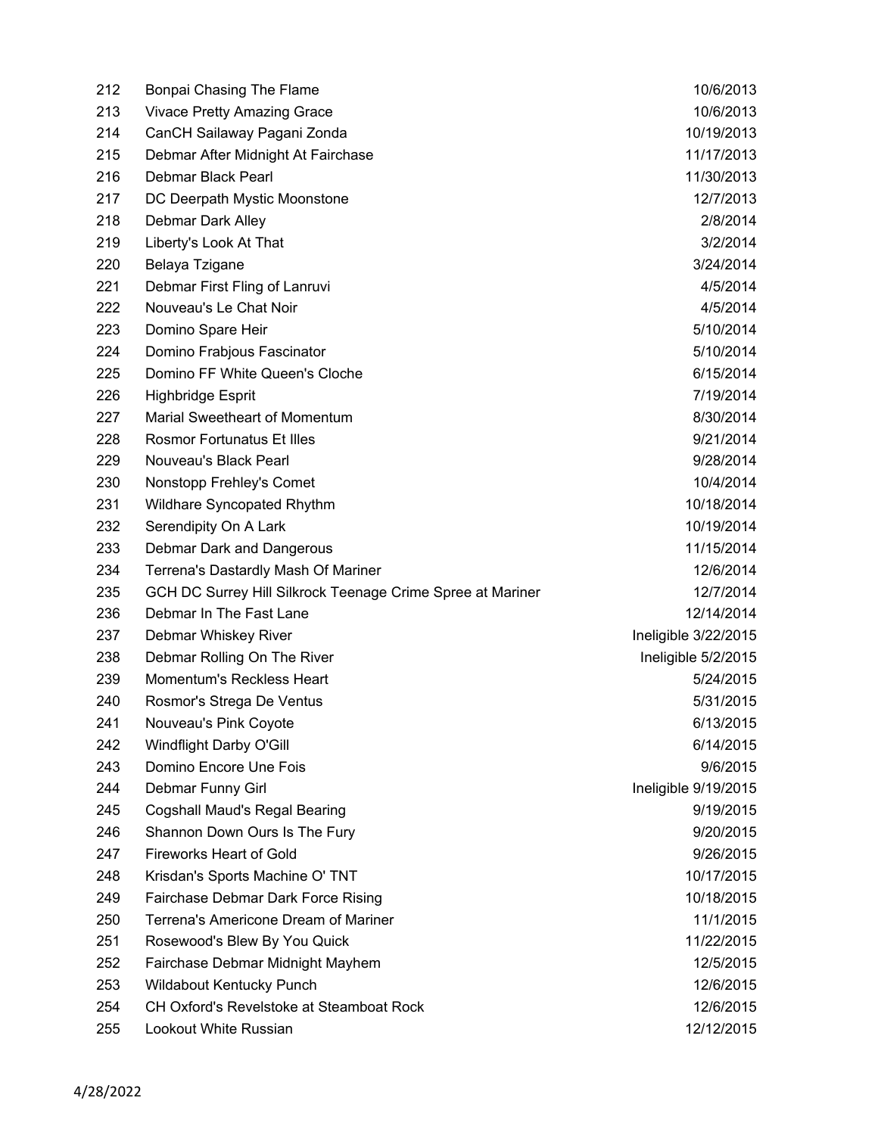| 212 | Bonpai Chasing The Flame                                   | 10/6/2013            |
|-----|------------------------------------------------------------|----------------------|
| 213 | <b>Vivace Pretty Amazing Grace</b>                         | 10/6/2013            |
| 214 | CanCH Sailaway Pagani Zonda                                | 10/19/2013           |
| 215 | Debmar After Midnight At Fairchase                         | 11/17/2013           |
| 216 | Debmar Black Pearl                                         | 11/30/2013           |
| 217 | DC Deerpath Mystic Moonstone                               | 12/7/2013            |
| 218 | Debmar Dark Alley                                          | 2/8/2014             |
| 219 | Liberty's Look At That                                     | 3/2/2014             |
| 220 | Belaya Tzigane                                             | 3/24/2014            |
| 221 | Debmar First Fling of Lanruvi                              | 4/5/2014             |
| 222 | Nouveau's Le Chat Noir                                     | 4/5/2014             |
| 223 | Domino Spare Heir                                          | 5/10/2014            |
| 224 | Domino Frabjous Fascinator                                 | 5/10/2014            |
| 225 | Domino FF White Queen's Cloche                             | 6/15/2014            |
| 226 | Highbridge Esprit                                          | 7/19/2014            |
| 227 | Marial Sweetheart of Momentum                              | 8/30/2014            |
| 228 | <b>Rosmor Fortunatus Et Illes</b>                          | 9/21/2014            |
| 229 | Nouveau's Black Pearl                                      | 9/28/2014            |
| 230 | Nonstopp Frehley's Comet                                   | 10/4/2014            |
| 231 | Wildhare Syncopated Rhythm                                 | 10/18/2014           |
| 232 | Serendipity On A Lark                                      | 10/19/2014           |
| 233 | Debmar Dark and Dangerous                                  | 11/15/2014           |
| 234 | Terrena's Dastardly Mash Of Mariner                        | 12/6/2014            |
| 235 | GCH DC Surrey Hill Silkrock Teenage Crime Spree at Mariner | 12/7/2014            |
| 236 | Debmar In The Fast Lane                                    | 12/14/2014           |
| 237 | Debmar Whiskey River                                       | Ineligible 3/22/2015 |
| 238 | Debmar Rolling On The River                                | Ineligible 5/2/2015  |
| 239 | Momentum's Reckless Heart                                  | 5/24/2015            |
| 240 | Rosmor's Strega De Ventus                                  | 5/31/2015            |
| 241 | Nouveau's Pink Coyote                                      | 6/13/2015            |
| 242 | Windflight Darby O'Gill                                    | 6/14/2015            |
| 243 | Domino Encore Une Fois                                     | 9/6/2015             |
| 244 | Debmar Funny Girl                                          | Ineligible 9/19/2015 |
| 245 | <b>Cogshall Maud's Regal Bearing</b>                       | 9/19/2015            |
| 246 | Shannon Down Ours Is The Fury                              | 9/20/2015            |
| 247 | <b>Fireworks Heart of Gold</b>                             | 9/26/2015            |
| 248 | Krisdan's Sports Machine O' TNT                            | 10/17/2015           |
| 249 | Fairchase Debmar Dark Force Rising                         | 10/18/2015           |
| 250 | Terrena's Americone Dream of Mariner                       | 11/1/2015            |
| 251 | Rosewood's Blew By You Quick                               | 11/22/2015           |
| 252 | Fairchase Debmar Midnight Mayhem                           | 12/5/2015            |
| 253 | Wildabout Kentucky Punch                                   | 12/6/2015            |
| 254 | CH Oxford's Revelstoke at Steamboat Rock                   | 12/6/2015            |
| 255 | Lookout White Russian                                      | 12/12/2015           |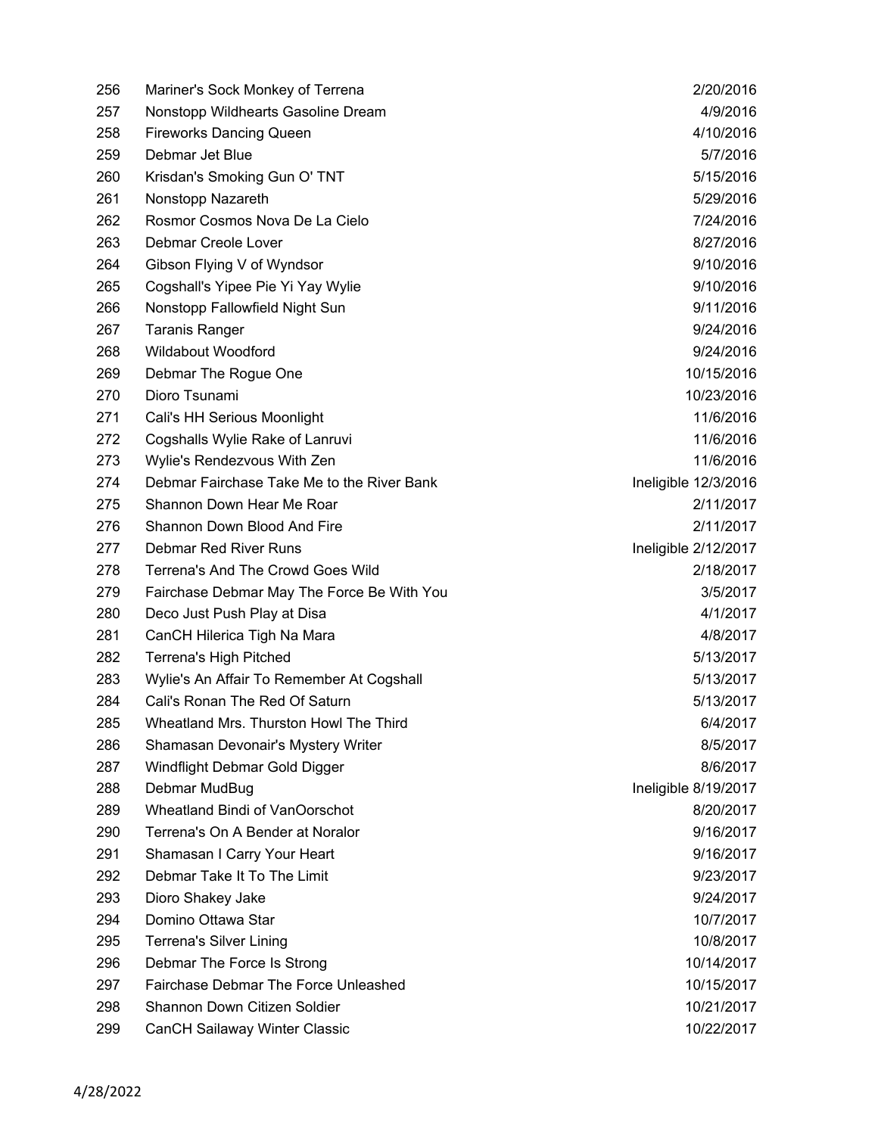| 256 | Mariner's Sock Monkey of Terrena           | 2/20/2016            |
|-----|--------------------------------------------|----------------------|
| 257 | Nonstopp Wildhearts Gasoline Dream         | 4/9/2016             |
| 258 | <b>Fireworks Dancing Queen</b>             | 4/10/2016            |
| 259 | Debmar Jet Blue                            | 5/7/2016             |
| 260 | Krisdan's Smoking Gun O' TNT               | 5/15/2016            |
| 261 | Nonstopp Nazareth                          | 5/29/2016            |
| 262 | Rosmor Cosmos Nova De La Cielo             | 7/24/2016            |
| 263 | Debmar Creole Lover                        | 8/27/2016            |
| 264 | Gibson Flying V of Wyndsor                 | 9/10/2016            |
| 265 | Cogshall's Yipee Pie Yi Yay Wylie          | 9/10/2016            |
| 266 | Nonstopp Fallowfield Night Sun             | 9/11/2016            |
| 267 | <b>Taranis Ranger</b>                      | 9/24/2016            |
| 268 | <b>Wildabout Woodford</b>                  | 9/24/2016            |
| 269 | Debmar The Rogue One                       | 10/15/2016           |
| 270 | Dioro Tsunami                              | 10/23/2016           |
| 271 | Cali's HH Serious Moonlight                | 11/6/2016            |
| 272 | Cogshalls Wylie Rake of Lanruvi            | 11/6/2016            |
| 273 | Wylie's Rendezvous With Zen                | 11/6/2016            |
| 274 | Debmar Fairchase Take Me to the River Bank | Ineligible 12/3/2016 |
| 275 | Shannon Down Hear Me Roar                  | 2/11/2017            |
| 276 | Shannon Down Blood And Fire                | 2/11/2017            |
| 277 | Debmar Red River Runs                      | Ineligible 2/12/2017 |
| 278 | Terrena's And The Crowd Goes Wild          | 2/18/2017            |
| 279 | Fairchase Debmar May The Force Be With You | 3/5/2017             |
| 280 | Deco Just Push Play at Disa                | 4/1/2017             |
| 281 | CanCH Hilerica Tigh Na Mara                | 4/8/2017             |
| 282 | <b>Terrena's High Pitched</b>              | 5/13/2017            |
| 283 | Wylie's An Affair To Remember At Cogshall  | 5/13/2017            |
| 284 | Cali's Ronan The Red Of Saturn             | 5/13/2017            |
| 285 | Wheatland Mrs. Thurston Howl The Third     | 6/4/2017             |
| 286 | Shamasan Devonair's Mystery Writer         | 8/5/2017             |
| 287 | Windflight Debmar Gold Digger              | 8/6/2017             |
| 288 | Debmar MudBug                              | Ineligible 8/19/2017 |
| 289 | Wheatland Bindi of VanOorschot             | 8/20/2017            |
| 290 | Terrena's On A Bender at Noralor           | 9/16/2017            |
| 291 | Shamasan I Carry Your Heart                | 9/16/2017            |
| 292 | Debmar Take It To The Limit                | 9/23/2017            |
| 293 | Dioro Shakey Jake                          | 9/24/2017            |
| 294 | Domino Ottawa Star                         | 10/7/2017            |
| 295 | <b>Terrena's Silver Lining</b>             | 10/8/2017            |
| 296 | Debmar The Force Is Strong                 | 10/14/2017           |
| 297 | Fairchase Debmar The Force Unleashed       | 10/15/2017           |
| 298 | Shannon Down Citizen Soldier               | 10/21/2017           |
| 299 | CanCH Sailaway Winter Classic              | 10/22/2017           |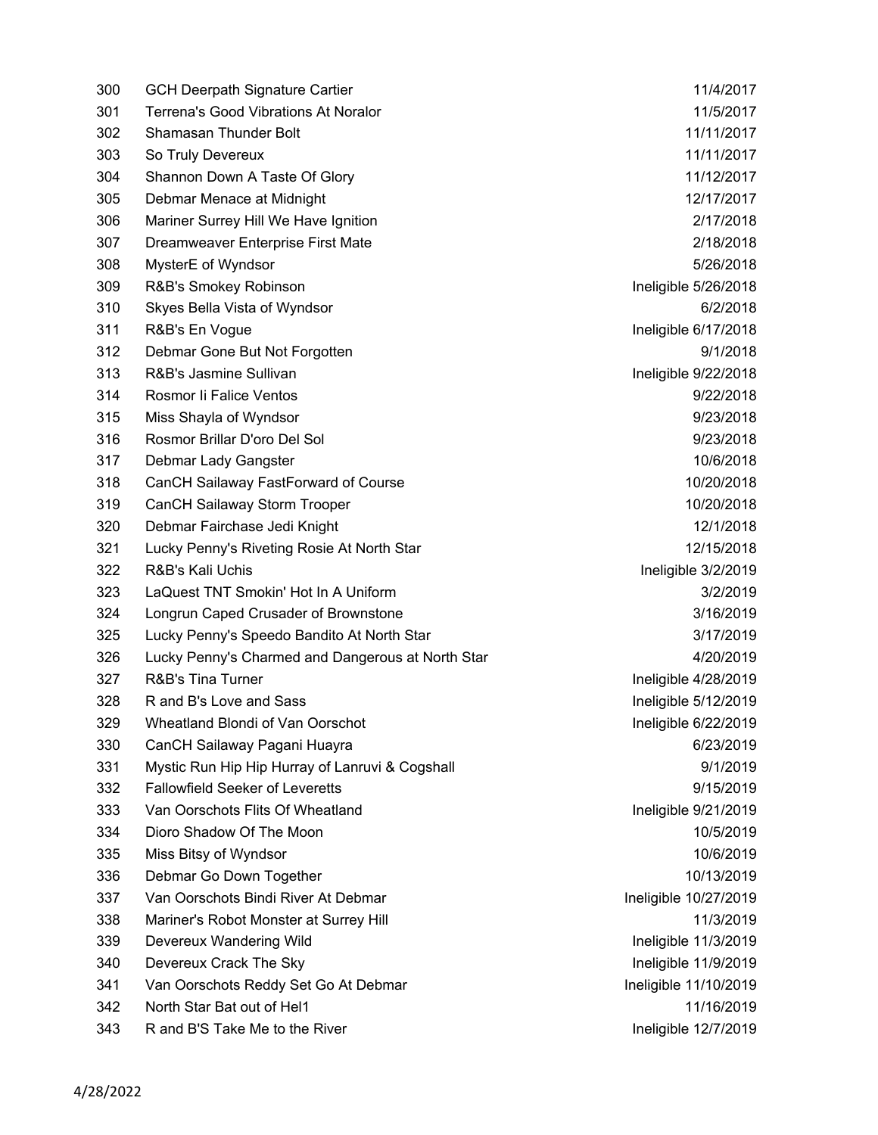| 300 | <b>GCH Deerpath Signature Cartier</b>             | 11/4/2017             |
|-----|---------------------------------------------------|-----------------------|
| 301 | <b>Terrena's Good Vibrations At Noralor</b>       | 11/5/2017             |
| 302 | Shamasan Thunder Bolt                             | 11/11/2017            |
| 303 | So Truly Devereux                                 | 11/11/2017            |
| 304 | Shannon Down A Taste Of Glory                     | 11/12/2017            |
| 305 | Debmar Menace at Midnight                         | 12/17/2017            |
| 306 | Mariner Surrey Hill We Have Ignition              | 2/17/2018             |
| 307 | Dreamweaver Enterprise First Mate                 | 2/18/2018             |
| 308 | MysterE of Wyndsor                                | 5/26/2018             |
| 309 | R&B's Smokey Robinson                             | Ineligible 5/26/2018  |
| 310 | Skyes Bella Vista of Wyndsor                      | 6/2/2018              |
| 311 | R&B's En Vogue                                    | Ineligible 6/17/2018  |
| 312 | Debmar Gone But Not Forgotten                     | 9/1/2018              |
| 313 | R&B's Jasmine Sullivan                            | Ineligible 9/22/2018  |
| 314 | Rosmor li Falice Ventos                           | 9/22/2018             |
| 315 | Miss Shayla of Wyndsor                            | 9/23/2018             |
| 316 | Rosmor Brillar D'oro Del Sol                      | 9/23/2018             |
| 317 | Debmar Lady Gangster                              | 10/6/2018             |
| 318 | CanCH Sailaway FastForward of Course              | 10/20/2018            |
| 319 | CanCH Sailaway Storm Trooper                      | 10/20/2018            |
| 320 | Debmar Fairchase Jedi Knight                      | 12/1/2018             |
| 321 | Lucky Penny's Riveting Rosie At North Star        | 12/15/2018            |
| 322 | R&B's Kali Uchis                                  | Ineligible 3/2/2019   |
| 323 | LaQuest TNT Smokin' Hot In A Uniform              | 3/2/2019              |
| 324 | Longrun Caped Crusader of Brownstone              | 3/16/2019             |
| 325 | Lucky Penny's Speedo Bandito At North Star        | 3/17/2019             |
| 326 | Lucky Penny's Charmed and Dangerous at North Star | 4/20/2019             |
| 327 | <b>R&amp;B's Tina Turner</b>                      | Ineligible 4/28/2019  |
| 328 | R and B's Love and Sass                           | Ineligible 5/12/2019  |
| 329 | Wheatland Blondi of Van Oorschot                  | Ineligible 6/22/2019  |
| 330 | CanCH Sailaway Pagani Huayra                      | 6/23/2019             |
| 331 | Mystic Run Hip Hip Hurray of Lanruvi & Cogshall   | 9/1/2019              |
| 332 | <b>Fallowfield Seeker of Leveretts</b>            | 9/15/2019             |
| 333 | Van Oorschots Flits Of Wheatland                  | Ineligible 9/21/2019  |
| 334 | Dioro Shadow Of The Moon                          | 10/5/2019             |
| 335 | Miss Bitsy of Wyndsor                             | 10/6/2019             |
| 336 | Debmar Go Down Together                           | 10/13/2019            |
| 337 | Van Oorschots Bindi River At Debmar               | Ineligible 10/27/2019 |
| 338 | Mariner's Robot Monster at Surrey Hill            | 11/3/2019             |
| 339 | Devereux Wandering Wild                           | Ineligible 11/3/2019  |
| 340 | Devereux Crack The Sky                            | Ineligible 11/9/2019  |
| 341 | Van Oorschots Reddy Set Go At Debmar              | Ineligible 11/10/2019 |
| 342 | North Star Bat out of Hel1                        | 11/16/2019            |
| 343 | R and B'S Take Me to the River                    | Ineligible 12/7/2019  |